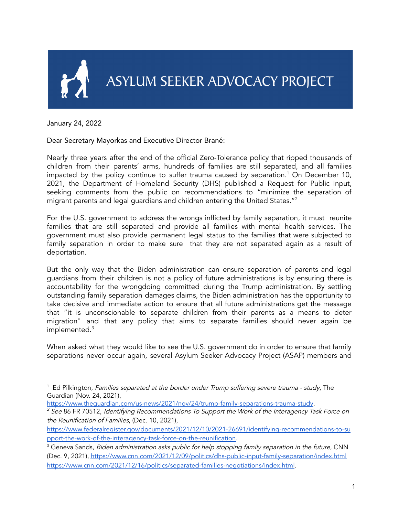

January 24, 2022

## Dear Secretary Mayorkas and Executive Director Brané:

Nearly three years after the end of the official Zero-Tolerance policy that ripped thousands of children from their parents' arms, hundreds of families are still separated, and all families impacted by the policy continue to suffer trauma caused by separation. <sup>1</sup> On December 10, 2021, the Department of Homeland Security (DHS) published a Request for Public Input, seeking comments from the public on recommendations to "minimize the separation of migrant parents and legal guardians and children entering the United States." 2

For the U.S. government to address the wrongs inflicted by family separation, it must reunite families that are still separated and provide all families with mental health services. The government must also provide permanent legal status to the families that were subjected to family separation in order to make sure that they are not separated again as a result of deportation.

But the only way that the Biden administration can ensure separation of parents and legal guardians from their children is not a policy of future administrations is by ensuring there is accountability for the wrongdoing committed during the Trump administration. By settling outstanding family separation damages claims, the Biden administration has the opportunity to take decisive and immediate action to ensure that all future administrations get the message that "it is unconscionable to separate children from their parents as a means to deter migration" and that any policy that aims to separate families should never again be implemented. 3

When asked what they would like to see the U.S. government do in order to ensure that family separations never occur again, several Asylum Seeker Advocacy Project (ASAP) members and

 $1$  Ed Pilkington, Families separated at the border under Trump suffering severe trauma - study, The Guardian (Nov. 24, 2021),

https://www.theguardian.com/us-news/2021/nov/24/trump-family-separations-trauma-study.

 $<sup>2</sup>$  See 86 FR 70512, Identifying Recommendations To Support the Work of the Interagency Task Force on</sup> the Reunification of Families, (Dec. 10, 2021),

https://www.federalregister.gov/documents/2021/12/10/2021-26691/identifying-recommendations-to-su pport-the-work-of-the-interagency-task-force-on-the-reunification.

<sup>&</sup>lt;sup>3</sup> Geneva Sands, Biden administration asks public for help stopping family separation in the future, CNN (Dec. 9, 2021), https://www.cnn.com/2021/12/09/politics/dhs-public-input-family-separation/index.html https://www.cnn.com/2021/12/16/politics/separated-families-negotiations/index.html.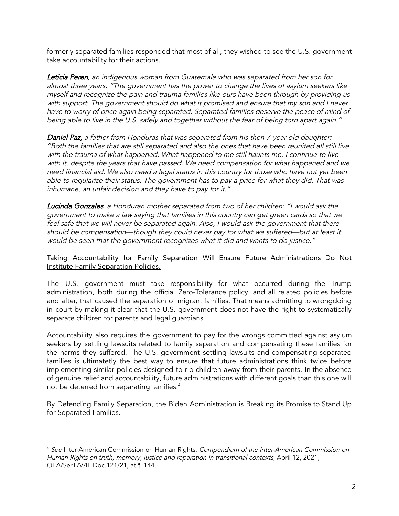formerly separated families responded that most of all, they wished to see the U.S. government take accountability for their actions.

Leticia Peren, an indigenous woman from Guatemala who was separated from her son for almost three years: "The government has the power to change the lives of asylum seekers like myself and recognize the pain and trauma families like ours have been through by providing us with support. The government should do what it promised and ensure that my son and I never have to worry of once again being separated. Separated families deserve the peace of mind of being able to live in the U.S. safely and together without the fear of being torn apart again."

Daniel Paz, a father from Honduras that was separated from his then 7-year-old daughter: "Both the families that are still separated and also the ones that have been reunited all still live with the trauma of what happened. What happened to me still haunts me. I continue to live with it, despite the years that have passed. We need compensation for what happened and we need financial aid. We also need a legal status in this country for those who have not yet been able to regularize their status. The government has to pay a price for what they did. That was inhumane, an unfair decision and they have to pay for it."

Lucinda Gonzales, a Honduran mother separated from two of her children: "I would ask the government to make a law saying that families in this country can get green cards so that we feel safe that we will never be separated again. Also, I would ask the government that there should be compensation—though they could never pay for what we suffered—but at least it would be seen that the government recognizes what it did and wants to do justice."

## Taking Accountability for Family Separation Will Ensure Future Administrations Do Not Institute Family Separation Policies.

The U.S. government must take responsibility for what occurred during the Trump administration, both during the official Zero-Tolerance policy, and all related policies before and after, that caused the separation of migrant families. That means admitting to wrongdoing in court by making it clear that the U.S. government does not have the right to systematically separate children for parents and legal guardians.

Accountability also requires the government to pay for the wrongs committed against asylum seekers by settling lawsuits related to family separation and compensating these families for the harms they suffered. The U.S. government settling lawsuits and compensating separated families is ultimatetly the best way to ensure that future administrations think twice before implementing similar policies designed to rip children away from their parents. In the absence of genuine relief and accountability, future administrations with different goals than this one will not be deterred from separating families.<sup>4</sup>

By Defending Family Separation, the Biden Administration is Breaking its Promise to Stand Up for Separated Families.

<sup>&</sup>lt;sup>4</sup> See Inter-American Commission on Human Rights, Compendium of the Inter-American Commission on Human Rights on truth, memory, justice and reparation in transitional contexts, April 12, 2021, OEA/Ser.L/V/II. Doc.121/21, at ¶ 144.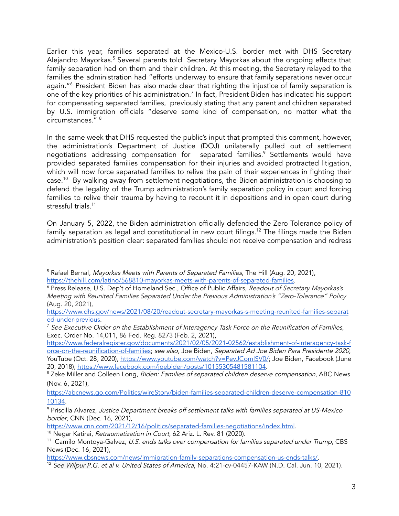Earlier this year, families separated at the Mexico-U.S. border met with DHS Secretary Alejandro Mayorkas. <sup>5</sup> Several parents told Secretary Mayorkas about the ongoing effects that family separation had on them and their children. At this meeting, the Secretary relayed to the families the administration had "efforts underway to ensure that family separations never occur again." <sup>6</sup> President Biden has also made clear that righting the injustice of family separation is one of the key priorities of his administration. $^7$  In fact, President Biden has indicated his support for compensating separated families, previously stating that any parent and children separated by U.S. immigration officials "deserve some kind of compensation, no matter what the circumstances." 8

In the same week that DHS requested the public's input that prompted this comment, however, the administration's Department of Justice (DOJ) unilaterally pulled out of settlement negotiations addressing compensation for separated families. <sup>9</sup> Settlements would have provided separated families compensation for their injuries and avoided protracted litigation, which will now force separated families to relive the pain of their experiences in fighting their case. <sup>10</sup> By walking away from settlement negotiations, the Biden administration is choosing to defend the legality of the Trump administration's family separation policy in court and forcing families to relive their trauma by having to recount it in depositions and in open court during stressful trials. 11

On January 5, 2022, the Biden administration officially defended the Zero Tolerance policy of family separation as legal and constitutional in new court filings.<sup>12</sup> The filings made the Biden administration's position clear: separated families should not receive compensation and redress

<sup>&</sup>lt;sup>5</sup> Rafael Bernal, *Mayorkas Meets with Parents of Separated Families*, The Hill (Aug. 20, 2021), https://thehill.com/latino/568810-mayorkas-meets-with-parents-of-separated-families.

<sup>&</sup>lt;sup>6</sup> Press Release, U.S. Dep't of Homeland Sec., Office of Public Affairs, Readout of Secretary Mayorkas's Meeting with Reunited Families Separated Under the Previous Administration's "Zero-Tolerance" Policy (Aug. 20, 2021),

https://www.dhs.gov/news/2021/08/20/readout-secretary-mayorkas-s-meeting-reunited-families-separat ed-under-previous.

 $^7$  See Executive Order on the Establishment of Interagency Task Force on the Reunification of Families, Exec. Order No. 14,011, 86 Fed. Reg. 8273 (Feb. 2, 2021),

https://www.federalregister.gov/documents/2021/02/05/2021-02562/establishment-of-interagency-task-f orce-on-the-reunification-of-families; see also, Joe Biden, Separated Ad Joe Biden Para Presidente 2020, YouTube (Oct. 28, 2020), https://www.youtube.com/watch?v=PevJComISV0/; Joe Biden, Facebook (June 20, 2018), https://www.facebook.com/joebiden/posts/10155305481581104.

<sup>&</sup>lt;sup>8</sup> Zeke Miller and Colleen Long, *Biden: Families of separated children deserve compensation*, ABC News (Nov. 6, 2021),

https://abcnews.go.com/Politics/wireStory/biden-families-separated-children-deserve-compensation-810 10134.

<sup>&</sup>lt;sup>9</sup> Priscilla Alvarez, Justice Department breaks off settlement talks with families separated at US-Mexico border, CNN (Dec. 16, 2021),

https://www.cnn.com/2021/12/16/politics/separated-families-negotiations/index.html.

<sup>&</sup>lt;sup>10</sup> Negar Katirai, *Retraumatization in Court*, 62 Ariz. L. Rev. 81 (2020).

<sup>&</sup>lt;sup>11</sup> Camilo Montoya-Galvez, U.S. ends talks over compensation for families separated under Trump, CBS News (Dec. 16, 2021),

https://www.cbsnews.com/news/immigration-family-separations-compensation-us-ends-talks/.

<sup>&</sup>lt;sup>12</sup> See Wilpur P.G. et al v. United States of America, No. 4:21-cv-04457-KAW (N.D. Cal. Jun. 10, 2021).